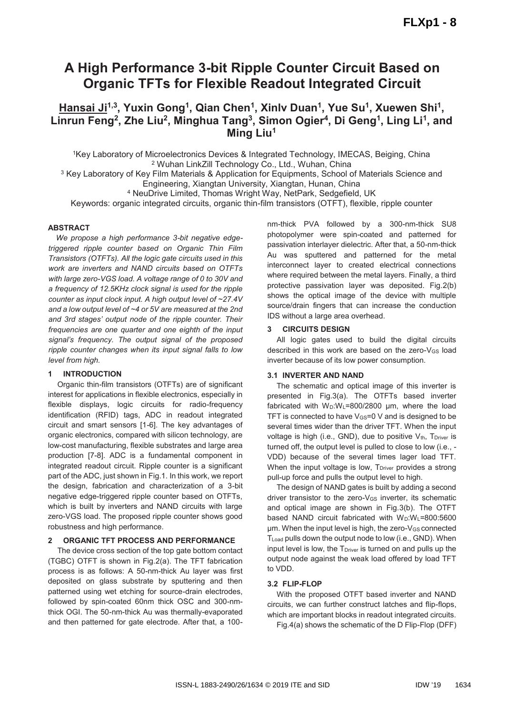# **A High Performance 3-bit Ripple Counter Circuit Based on Organic TFTs for Flexible Readout Integrated Circuit**

# Hansai Ji<sup>1,3</sup>, Yuxin Gong<sup>1</sup>, Qian Chen<sup>1</sup>, Xinlv Duan<sup>1</sup>, Yue Su<sup>1</sup>, Xuewen Shi<sup>1</sup>, Linrun Feng<sup>2</sup>, Zhe Liu<sup>2</sup>, Minghua Tang<sup>3</sup>, Simon Ogier<sup>4</sup>, Di Geng<sup>1</sup>, Ling Li<sup>1</sup>, and **Ming Liu1**

1Key Laboratory of Microelectronics Devices & Integrated Technology, IMECAS, Beiging, China 2 Wuhan LinkZill Technology Co., Ltd., Wuhan, China <sup>3</sup> Key Laboratory of Key Film Materials & Application for Equipments, School of Materials Science and

Engineering, Xiangtan University, Xiangtan, Hunan, China 4 NeuDrive Limited, Thomas Wright Way, NetPark, Sedgefield, UK

Keywords: organic integrated circuits, organic thin-film transistors (OTFT), flexible, ripple counter

## **ABSTRACT**

*We propose a high performance 3-bit negative edgetriggered ripple counter based on Organic Thin Film Transistors (OTFTs). All the logic gate circuits used in this work are inverters and NAND circuits based on OTFTs with large zero-VGS load. A voltage range of 0 to 30V and a frequency of 12.5KHz clock signal is used for the ripple counter as input clock input. A high output level of ~27.4V and a low output level of ~4 or 5V are measured at the 2nd and 3rd stages' output node of the ripple counter. Their frequencies are one quarter and one eighth of the input signal's frequency. The output signal of the proposed ripple counter changes when its input signal falls to low level from high.* 

## **INTRODUCTION**

Organic thin-film transistors (OTFTs) are of significant interest for applications in flexible electronics, especially in flexible displays, logic circuits for radio-frequency identification (RFID) tags, ADC in readout integrated circuit and smart sensors [1-6]. The key advantages of organic electronics, compared with silicon technology, are low-cost manufacturing, flexible substrates and large area production [7-8]. ADC is a fundamental component in integrated readout circuit. Ripple counter is a significant part of the ADC, just shown in Fig.1. In this work, we report the design, fabrication and characterization of a 3-bit negative edge-triggered ripple counter based on OTFTs, which is built by inverters and NAND circuits with large zero-VGS load. The proposed ripple counter shows good robustness and high performance.

## **2 ORGANIC TFT PROCESS AND PERFORMANCE**

The device cross section of the top gate bottom contact (TGBC) OTFT is shown in Fig.2(a). The TFT fabrication process is as follows: A 50-nm-thick Au layer was first deposited on glass substrate by sputtering and then patterned using wet etching for source-drain electrodes, followed by spin-coated 60nm thick OSC and 300-nmthick OGI. The 50-nm-thick Au was thermally-evaporated and then patterned for gate electrode. After that, a 100nm-thick PVA followed by a 300-nm-thick SU8 photopolymer were spin-coated and patterned for passivation interlayer dielectric. After that, a 50-nm-thick Au was sputtered and patterned for the metal interconnect layer to created electrical connections where required between the metal layers. Finally, a third protective passivation layer was deposited. Fig.2(b) shows the optical image of the device with multiple source/drain fingers that can increase the conduction IDS without a large area overhead.

# **3 CIRCUITS DESIGN**

All logic gates used to build the digital circuits described in this work are based on the zero-VGS load inverter because of its low power consumption.

## **3.1 INVERTER AND NAND**

The schematic and optical image of this inverter is presented in Fig.3(a). The OTFTs based inverter fabricated with  $W_D:W_L=800/2800$  µm, where the load TFT is connected to have  $V_{GS}=0$  V and is designed to be several times wider than the driver TFT. When the input voltage is high (i.e., GND), due to positive  $V_{th}$ ,  $T_{\text{Driver}}$  is turned off, the output level is pulled to close to low (i.e., - VDD) because of the several times lager load TFT. When the input voltage is low, T<sub>Driver</sub> provides a strong pull-up force and pulls the output level to high.

The design of NAND gates is built by adding a second driver transistor to the zero-V<sub>GS</sub> inverter, its schematic and optical image are shown in Fig.3(b). The OTFT based NAND circuit fabricated with  $W_D:W_L=800:5600$ μm. When the input level is high, the zero-V<sub>GS</sub> connected TLoad pulls down the output node to low (i.e., GND). When input level is low, the  $T<sub>Diriver</sub>$  is turned on and pulls up the output node against the weak load offered by load TFT to VDD.

## **3.2 FLIP-FLOP**

With the proposed OTFT based inverter and NAND circuits, we can further construct latches and flip-flops, which are important blocks in readout integrated circuits.

Fig.4(a) shows the schematic of the D Flip-Flop (DFF)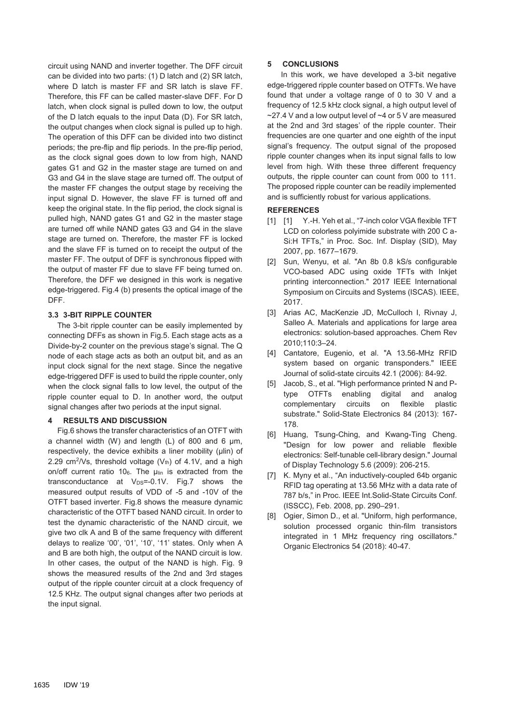circuit using NAND and inverter together. The DFF circuit can be divided into two parts: (1) D latch and (2) SR latch, where D latch is master FF and SR latch is slave FF. Therefore, this FF can be called master-slave DFF. For D latch, when clock signal is pulled down to low, the output of the D latch equals to the input Data (D). For SR latch, the output changes when clock signal is pulled up to high. The operation of this DFF can be divided into two distinct periods; the pre-flip and flip periods. In the pre-flip period, as the clock signal goes down to low from high, NAND gates G1 and G2 in the master stage are turned on and G3 and G4 in the slave stage are turned off. The output of the master FF changes the output stage by receiving the input signal D. However, the slave FF is turned off and keep the original state. In the flip period, the clock signal is pulled high, NAND gates G1 and G2 in the master stage are turned off while NAND gates G3 and G4 in the slave stage are turned on. Therefore, the master FF is locked and the slave FF is turned on to receipt the output of the master FF. The output of DFF is synchronous flipped with the output of master FF due to slave FF being turned on. Therefore, the DFF we designed in this work is negative edge-triggered. Fig.4 (b) presents the optical image of the DFF.

## **3.3 3-BIT RIPPLE COUNTER**

The 3-bit ripple counter can be easily implemented by connecting DFFs as shown in Fig.5. Each stage acts as a Divide-by-2 counter on the previous stage's signal. The Q node of each stage acts as both an output bit, and as an input clock signal for the next stage. Since the negative edge-triggered DFF is used to build the ripple counter, only when the clock signal falls to low level, the output of the ripple counter equal to D. In another word, the output signal changes after two periods at the input signal.

#### **4 RESULTS AND DISCUSSION**

Fig.6 shows the transfer characteristics of an OTFT with a channel width (W) and length (L) of 800 and 6 μm, respectively, the device exhibits a liner mobility (μlin) of 2.29 cm<sup>2</sup>/Vs, threshold voltage  $(V<sub>th</sub>)$  of 4.1V, and a high on/off current ratio 106. The μlin is extracted from the transconductance at  $V_{DS} = -0.1V$ . Fig.7 shows the measured output results of VDD of -5 and -10V of the OTFT based inverter. Fig.8 shows the measure dynamic characteristic of the OTFT based NAND circuit. In order to test the dynamic characteristic of the NAND circuit, we give two clk A and B of the same frequency with different delays to realize '00', '01', '10', '11' states. Only when A and B are both high, the output of the NAND circuit is low. In other cases, the output of the NAND is high. Fig. 9 shows the measured results of the 2nd and 3rd stages output of the ripple counter circuit at a clock frequency of 12.5 KHz. The output signal changes after two periods at the input signal.

#### **5 CONCLUSIONS**

 In this work, we have developed a 3-bit negative edge-triggered ripple counter based on OTFTs. We have found that under a voltage range of 0 to 30 V and a frequency of 12.5 kHz clock signal, a high output level of ~27.4 V and a low output level of ~4 or 5 V are measured at the 2nd and 3rd stages' of the ripple counter. Their frequencies are one quarter and one eighth of the input signal's frequency. The output signal of the proposed ripple counter changes when its input signal falls to low level from high. With these three different frequency outputs, the ripple counter can count from 000 to 111. The proposed ripple counter can be readily implemented and is sufficiently robust for various applications.

#### **REFERENCES**

- [1] [1] Y.-H. Yeh et al., "7-inch color VGA flexible TFT LCD on colorless polyimide substrate with 200 C a-Si:H TFTs," in Proc. Soc. Inf. Display (SID), May 2007, pp. 1677–1679.
- [2] Sun, Wenyu, et al. "An 8b 0.8 kS/s configurable VCO-based ADC using oxide TFTs with Inkjet printing interconnection." 2017 IEEE International Symposium on Circuits and Systems (ISCAS). IEEE, 2017.
- [3] Arias AC, MacKenzie JD, McCulloch I, Rivnay J, Salleo A. Materials and applications for large area electronics: solution-based approaches. Chem Rev 2010;110:3–24.
- [4] Cantatore, Eugenio, et al. "A 13.56-MHz RFID system based on organic transponders." IEEE Journal of solid-state circuits 42.1 (2006): 84-92.
- [5] Jacob, S., et al. "High performance printed N and Ptype OTFTs enabling digital and analog complementary circuits on flexible plastic substrate." Solid-State Electronics 84 (2013): 167- 178.
- [6] Huang, Tsung-Ching, and Kwang-Ting Cheng. "Design for low power and reliable flexible electronics: Self-tunable cell-library design." Journal of Display Technology 5.6 (2009): 206-215.
- [7] K. Myny et al., "An inductively-coupled 64b organic RFID tag operating at 13.56 MHz with a data rate of 787 b/s," in Proc. IEEE Int.Solid-State Circuits Conf. (ISSCC), Feb. 2008, pp. 290–291.
- [8] Ogier, Simon D., et al. "Uniform, high performance, solution processed organic thin-film transistors integrated in 1 MHz frequency ring oscillators." Organic Electronics 54 (2018): 40-47.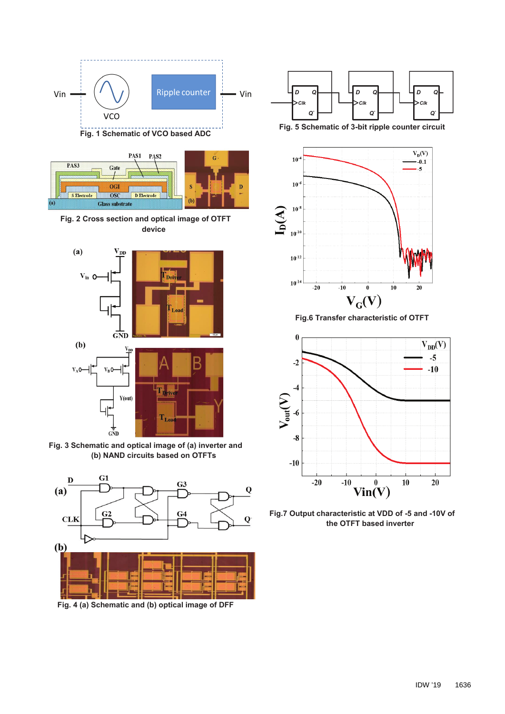

**Fig. 1 Schematic of VCO based ADC** 



**Fig. 2 Cross section and optical image of OTFT device** 



**Fig. 3 Schematic and optical image of (a) inverter and (b) NAND circuits based on OTFTs** 



**Fig. 4 (a) Schematic and (b) optical image of DFF** 



**Fig. 5 Schematic of 3-bit ripple counter circuit** 



**Fig.6 Transfer characteristic of OTFT** 



**Fig.7 Output characteristic at VDD of -5 and -10V of the OTFT based inverter**